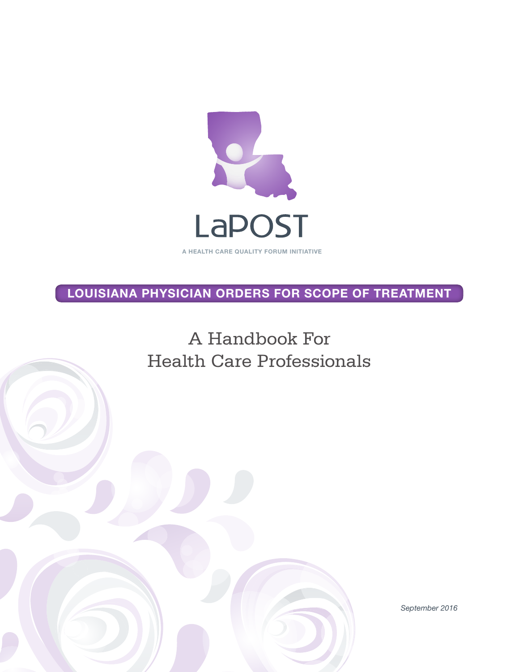

LOUISIANA PHYSICIAN ORDERS FOR SCOPE OF TREATMENT

A Handbook For Health Care Professionals

*September 2016*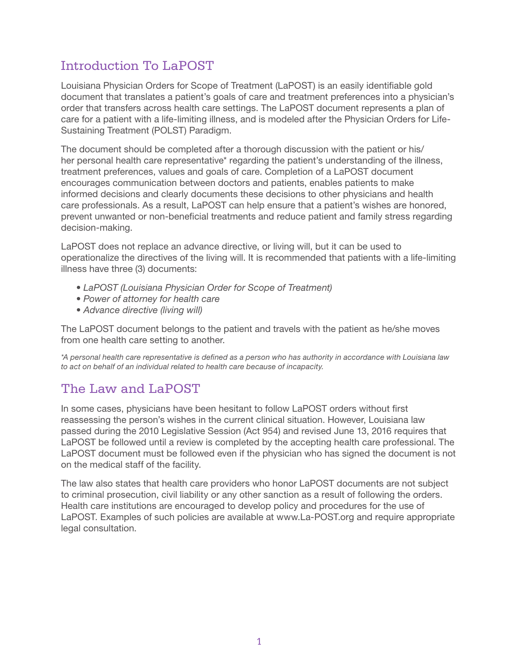## Introduction To LaPOST

Louisiana Physician Orders for Scope of Treatment (LaPOST) is an easily identifiable gold document that translates a patient's goals of care and treatment preferences into a physician's order that transfers across health care settings. The LaPOST document represents a plan of care for a patient with a life-limiting illness, and is modeled after the Physician Orders for Life-Sustaining Treatment (POLST) Paradigm.

The document should be completed after a thorough discussion with the patient or his/ her personal health care representative\* regarding the patient's understanding of the illness, treatment preferences, values and goals of care. Completion of a LaPOST document encourages communication between doctors and patients, enables patients to make informed decisions and clearly documents these decisions to other physicians and health care professionals. As a result, LaPOST can help ensure that a patient's wishes are honored, prevent unwanted or non-beneficial treatments and reduce patient and family stress regarding decision-making.

LaPOST does not replace an advance directive, or living will, but it can be used to operationalize the directives of the living will. It is recommended that patients with a life-limiting illness have three (3) documents:

- *LaPOST (Louisiana Physician Order for Scope of Treatment)*
- *Power of attorney for health care*
- *Advance directive (living will)*

The LaPOST document belongs to the patient and travels with the patient as he/she moves from one health care setting to another.

*\*A personal health care representative is defined as a person who has authority in accordance with Louisiana law to act on behalf of an individual related to health care because of incapacity.*

# The Law and LaPOST

In some cases, physicians have been hesitant to follow LaPOST orders without first reassessing the person's wishes in the current clinical situation. However, Louisiana law passed during the 2010 Legislative Session (Act 954) and revised June 13, 2016 requires that LaPOST be followed until a review is completed by the accepting health care professional. The LaPOST document must be followed even if the physician who has signed the document is not on the medical staff of the facility.

The law also states that health care providers who honor LaPOST documents are not subject to criminal prosecution, civil liability or any other sanction as a result of following the orders. Health care institutions are encouraged to develop policy and procedures for the use of LaPOST. Examples of such policies are available at www.La-POST.org and require appropriate legal consultation.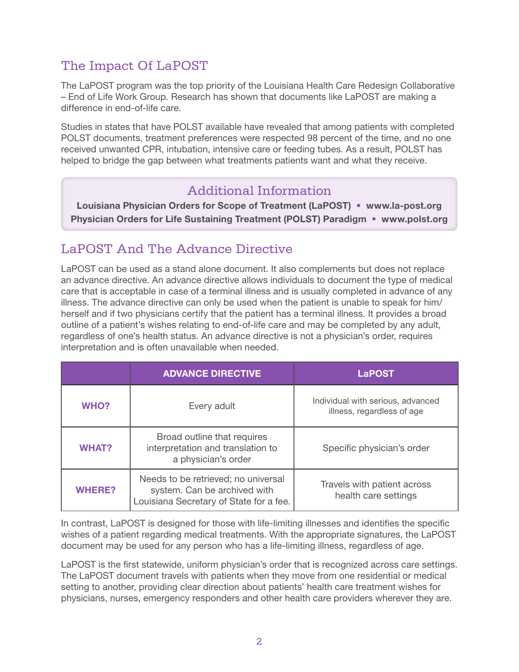## The Impact Of LaPOST

The LaPOST program was the top priority of the Louisiana Health Care Redesign Collaborative – End of Life Work Group. Research has shown that documents like LaPOST are making a difference in end-of-life care.

Studies in states that have POLST available have revealed that among patients with completed POLST documents, treatment preferences were respected 98 percent of the time, and no one received unwanted CPR, intubation, intensive care or feeding tubes. As a result, POLST has helped to bridge the gap between what treatments patients want and what they receive.

## Additional Information

Louisiana Physician Orders for Scope of Treatment (LaPOST) • www.la-post.org Physician Orders for Life Sustaining Treatment (POLST) Paradigm • www.polst.org

# LaPOST And The Advance Directive

LaPOST can be used as a stand alone document. It also complements but does not replace an advance directive. An advance directive allows individuals to document the type of medical care that is acceptable in case of a terminal illness and is usually completed in advance of any illness. The advance directive can only be used when the patient is unable to speak for him/ herself and if two physicians certify that the patient has a terminal illness. It provides a broad outline of a patient's wishes relating to end-of-life care and may be completed by any adult, regardless of one's health status. An advance directive is not a physician's order, requires interpretation and is often unavailable when needed.

|               | <b>ADVANCE DIRECTIVE</b>                                                                                       | <b>LaPOST</b>                                                   |
|---------------|----------------------------------------------------------------------------------------------------------------|-----------------------------------------------------------------|
| <b>WHO?</b>   | Every adult                                                                                                    | Individual with serious, advanced<br>illness, regardless of age |
| <b>WHAT?</b>  | Broad outline that requires<br>interpretation and translation to<br>a physician's order                        | Specific physician's order                                      |
| <b>WHERE?</b> | Needs to be retrieved; no universal<br>system. Can be archived with<br>Louisiana Secretary of State for a fee. | Travels with patient across<br>health care settings             |

In contrast, LaPOST is designed for those with life-limiting illnesses and identifies the specific wishes of a patient regarding medical treatments. With the appropriate signatures, the LaPOST document may be used for any person who has a life-limiting illness, regardless of age.

LaPOST is the first statewide, uniform physician's order that is recognized across care settings. The LaPOST document travels with patients when they move from one residential or medical setting to another, providing clear direction about patients' health care treatment wishes for physicians, nurses, emergency responders and other health care providers wherever they are.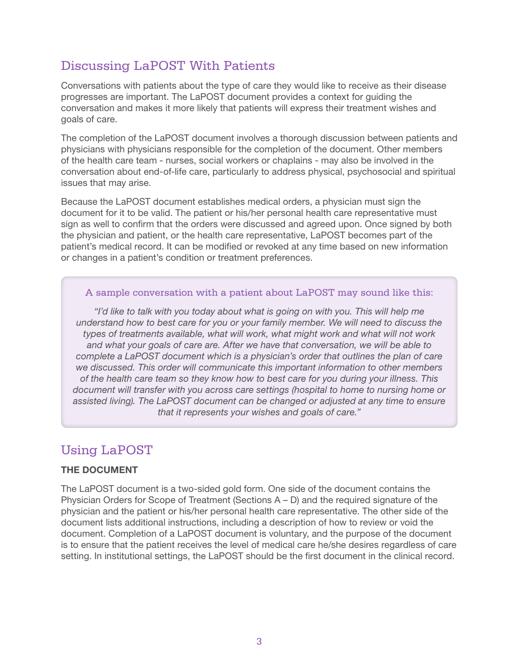## Discussing LaPOST With Patients

Conversations with patients about the type of care they would like to receive as their disease progresses are important. The LaPOST document provides a context for guiding the conversation and makes it more likely that patients will express their treatment wishes and goals of care.

The completion of the LaPOST document involves a thorough discussion between patients and physicians with physicians responsible for the completion of the document. Other members of the health care team - nurses, social workers or chaplains - may also be involved in the conversation about end-of-life care, particularly to address physical, psychosocial and spiritual issues that may arise.

Because the LaPOST document establishes medical orders, a physician must sign the document for it to be valid. The patient or his/her personal health care representative must sign as well to confirm that the orders were discussed and agreed upon. Once signed by both the physician and patient, or the health care representative, LaPOST becomes part of the patient's medical record. It can be modified or revoked at any time based on new information or changes in a patient's condition or treatment preferences.

#### A sample conversation with a patient about LaPOST may sound like this:

*"I'd like to talk with you today about what is going on with you. This will help me understand how to best care for you or your family member. We will need to discuss the types of treatments available, what will work, what might work and what will not work and what your goals of care are. After we have that conversation, we will be able to complete a LaPOST document which is a physician's order that outlines the plan of care we discussed. This order will communicate this important information to other members of the health care team so they know how to best care for you during your illness. This document will transfer with you across care settings (hospital to home to nursing home or assisted living). The LaPOST document can be changed or adjusted at any time to ensure that it represents your wishes and goals of care."*

## Using LaPOST

## THE DOCUMENT

The LaPOST document is a two-sided gold form. One side of the document contains the Physician Orders for Scope of Treatment (Sections A – D) and the required signature of the physician and the patient or his/her personal health care representative. The other side of the document lists additional instructions, including a description of how to review or void the document. Completion of a LaPOST document is voluntary, and the purpose of the document is to ensure that the patient receives the level of medical care he/she desires regardless of care setting. In institutional settings, the LaPOST should be the first document in the clinical record.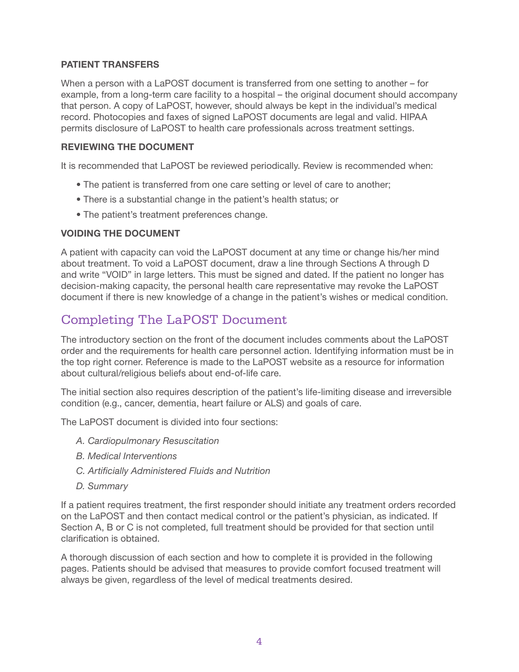#### PATIENT TRANSFERS

When a person with a LaPOST document is transferred from one setting to another – for example, from a long-term care facility to a hospital – the original document should accompany that person. A copy of LaPOST, however, should always be kept in the individual's medical record. Photocopies and faxes of signed LaPOST documents are legal and valid. HIPAA permits disclosure of LaPOST to health care professionals across treatment settings.

## REVIEWING THE DOCUMENT

It is recommended that LaPOST be reviewed periodically. Review is recommended when:

- The patient is transferred from one care setting or level of care to another;
- There is a substantial change in the patient's health status; or
- The patient's treatment preferences change.

#### VOIDING THE DOCUMENT

A patient with capacity can void the LaPOST document at any time or change his/her mind about treatment. To void a LaPOST document, draw a line through Sections A through D and write "VOID" in large letters. This must be signed and dated. If the patient no longer has decision-making capacity, the personal health care representative may revoke the LaPOST document if there is new knowledge of a change in the patient's wishes or medical condition.

## Completing The LaPOST Document

The introductory section on the front of the document includes comments about the LaPOST order and the requirements for health care personnel action. Identifying information must be in the top right corner. Reference is made to the LaPOST website as a resource for information about cultural/religious beliefs about end-of-life care.

The initial section also requires description of the patient's life-limiting disease and irreversible condition (e.g., cancer, dementia, heart failure or ALS) and goals of care.

The LaPOST document is divided into four sections:

- *A. Cardiopulmonary Resuscitation*
- *B. Medical Interventions*
- *C. Artificially Administered Fluids and Nutrition*
- *D. Summary*

If a patient requires treatment, the first responder should initiate any treatment orders recorded on the LaPOST and then contact medical control or the patient's physician, as indicated. If Section A, B or C is not completed, full treatment should be provided for that section until clarification is obtained.

A thorough discussion of each section and how to complete it is provided in the following pages. Patients should be advised that measures to provide comfort focused treatment will always be given, regardless of the level of medical treatments desired.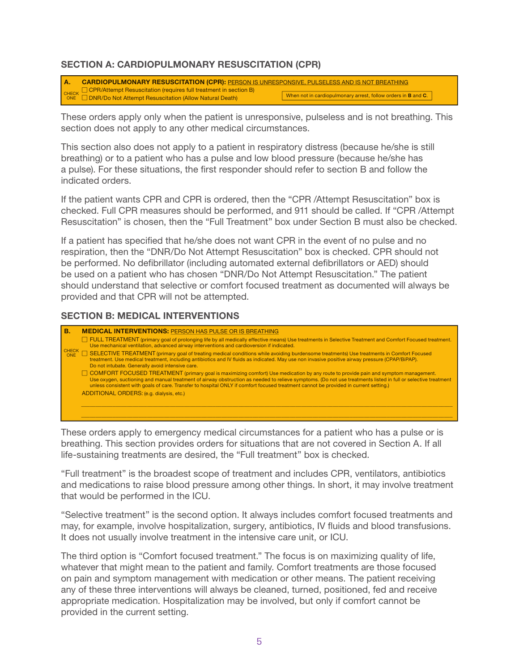### SECTION A: CARDIOPULMONARY RESUSCITATION (CPR)

|  | CARDIOPULMONARY RESUSCITATION (CPR): PERSON IS UNRESPONSIVE, PULSELESS AND IS NOT BREATHING |                                                                        |  |  |  |
|--|---------------------------------------------------------------------------------------------|------------------------------------------------------------------------|--|--|--|
|  |                                                                                             |                                                                        |  |  |  |
|  |                                                                                             | When not in cardiopulmonary arrest, follow orders in <b>B</b> and $C.$ |  |  |  |

These orders apply only when the patient is unresponsive, pulseless and is not breathing. This section does not apply to any other medical circumstances. FULL TREATMENT (primary goal of prolonging life by all medically effective means) Use treatments in Selective Treatment and Comfort Focused treatment. SECREATMENT GOOD INC. THE TREATMENT CONDITIONS WHILE AVOID BURGENS WHO TREATMENTS IN CONDITIONS IN CONDITIONS IN CONDITIONS IN CONDITIONS IN CONDITIONS IN CONTINUES.

This section also does not apply to a patient in respiratory distress (because he/she is still breathing) or to a patient who has a pulse and low blood pressure (because he/she has a pulse). For these situations, the first responder should refer to section B and follow the indicated orders. This is a state of the state orders, THESN contact physician orders of the state of the state orders of the state of the state of the state of the state of the state of the state of the state of the state this section also does not annly to a natient in respiratory distress (because he/she is  $\omega$ , is those dialysis,  $\alpha$  is the set of the set of the set of the set of the set of the set of the set of the set of the set of the set of the set of the set of the set of the set of the set of the set of the set of the set of the set of the

If the patient wants CPR and CPR is ordered, then the "CPR /Attempt Resuscitation" box is checked. Full CPR measures should be performed, and 911 should be called. If "CPR /Attempt Resuscitation" is chosen, then the "Full Treatment" box under Section B must also be checked. If the patient wants CPR and CPR is ordered, then the "CPR /Attempt Resuscitation" box is for that section. LaPOST complements an Advance Directive checked. Full CPR measures should be performed, and 911 should be called. If "CPF

If a patient has specified that he/she does not want CPR in the event of no pulse and no respiration, then the "DNR/Do Not Attempt Resuscitation" box is checked. CPR should not be performed. No defibrillator (including automated external defibrillators or AED) should be used on a patient who has chosen "DNR/Do Not Attempt Resuscitation." The patient should understand that selective or comfort focused treatment as documented will always be provided and that CPR will not be attempted.  $\alpha$  direction (can be or completed by  $\alpha$  and  $\alpha$  and  $\alpha$  and  $\alpha$  and  $\alpha$  and  $\alpha$  will are vertex between  $\alpha$  $\mathcal{L}(\mathcal{L}(\mathcal{L}(\mathcal{L}(\mathcal{L}(\mathcal{L}(\mathcal{L}(\mathcal{L}(\mathcal{L}(\mathcal{L}(\mathcal{L}(\mathcal{L}(\mathcal{L}(\mathcal{L}(\mathcal{L}(\mathcal{L}(\mathcal{L}(\mathcal{L}(\mathcal{L}(\mathcal{L}(\mathcal{L}(\mathcal{L}(\mathcal{L}(\mathcal{L}(\mathcal{L}(\mathcal{L}(\mathcal{L}(\mathcal{L}(\mathcal{L}(\mathcal{L}(\mathcal{L}(\mathcal{L}(\mathcal{L}(\mathcal{L}(\mathcal{L}(\mathcal{L}(\mathcal{$ 

#### **SECTION B: MEDICAL INTERVENTIONS** an additional document that provides guidance for treatment

| В. | <b>MEDICAL INTERVENTIONS: PERSON HAS PULSE OR IS BREATHING</b>                                                                                                                                                                                                                                                                                                                                                                                |  |  |
|----|-----------------------------------------------------------------------------------------------------------------------------------------------------------------------------------------------------------------------------------------------------------------------------------------------------------------------------------------------------------------------------------------------------------------------------------------------|--|--|
|    | $\Box$ FULL TREATMENT (primary goal of prolonging life by all medically effective means) Use treatments in Selective Treatment and Comfort Focused treatment.<br>Use mechanical ventilation, advanced airway interventions and cardioversion if indicated.                                                                                                                                                                                    |  |  |
|    | CHECK SELECTIVE TREATMENT (primary goal of treating medical conditions while avoiding burdensome treatments) Use treatments in Comfort Focused<br>treatment. Use medical treatment, including antibiotics and IV fluids as indicated. May use non invasive positive airway pressure (CPAP/BiPAP).<br>Do not intubate. Generally avoid intensive care.                                                                                         |  |  |
|    | □ COMFORT FOCUSED TREATMENT (primary goal is maximizing comfort) Use medication by any route to provide pain and symptom management.<br>Use oxygen, suctioning and manual treatment of airway obstruction as needed to relieve symptoms. (Do not use treatments listed in full or selective treatment<br>unless consistent with goals of care. Transfer to hospital ONLY if comfort focused treatment cannot be provided in current setting.) |  |  |
|    | ADDITIONAL ORDERS: (e.g. dialysis, etc.)                                                                                                                                                                                                                                                                                                                                                                                                      |  |  |
|    |                                                                                                                                                                                                                                                                                                                                                                                                                                               |  |  |
|    |                                                                                                                                                                                                                                                                                                                                                                                                                                               |  |  |

These orders apply to emergency medical circumstances for a patient who has a pulse or is breathing. This section provides orders for situations that are not covered in Section A. If all life-sustaining treatments are desired, the "Full treatment" box is checked.  $\overline{\text{max}}$  because the desired, the full treatment fook is checked. USE OF ORIGINAL FORM IS STRONGLY ENCOURAGED. PHOTOCOPIES AND FAXES OF SIGNED LaPOST FORMS ARE LEGAL AND VALID.

"Full treatment" is the broadest scope of treatment and includes CPR, ventilators, antibiotics and medications to raise blood pressure among other things. In short, it may involve treatment that would be performed in the ICU. Discussions to raise broad processio among other triniger in energy in may link

"Selective treatment" is the second option. It always includes comfort focused treatments and may, for example, involve hospitalization, surgery, antibiotics, IV fluids and blood transfusions. may, i.e. creatiple, involve treatment in the intensive care unit, or ICU.<br>It does not usually involve treatment in the intensive care unit, or ICU. 'Selective treatment" is the second option. It always includes comfort fo t does not usually involve treatment in the int measures if he/she loses medical decision-making capacity. Name:  $\mathcal{N} = \{1,2,3, \ldots, n\}$ 

The third option is "Comfort focused treatment." The focus is on maximizing quality of life, whatever that might mean to the patient and family. Comfort treatments are those focused on pain and symptom management with medication or other means. The patient receiving any of these three interventions will always be cleaned, turned, positioned, fed and receive appropriate medication. Hospitalization may be involved, but only if comfort cannot be provided in the current setting.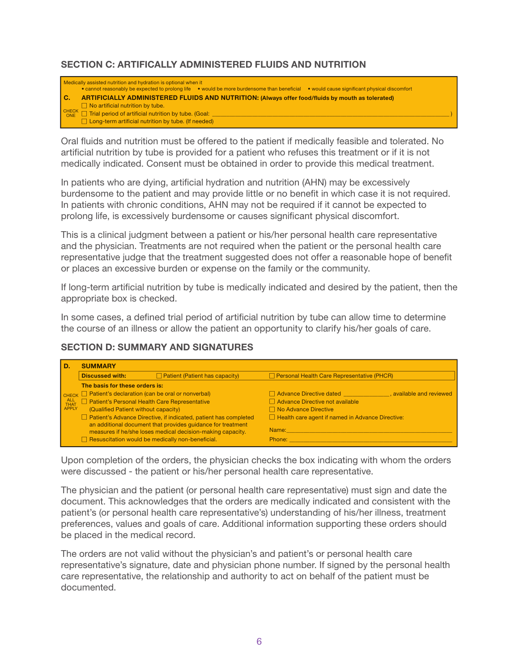#### SECTION C: ARTIFICALLY ADMINISTERED FLUIDS AND NUTRITION  $\ldots$  $\overline{\phantom{a}}$ **SEVIRST CONTACT FOR CONTACT PRIMIDICAL**

|      | Medically assisted nutrition and hydration is optional when it<br>• cannot reasonably be expected to prolong life • would be more burdensome than beneficial<br>• would cause significant physical discomfort |  |  |  |
|------|---------------------------------------------------------------------------------------------------------------------------------------------------------------------------------------------------------------|--|--|--|
| l C. | ARTIFICIALLY ADMINISTERED FLUIDS AND NUTRITION: (Always offer food/fluids by mouth as tolerated)                                                                                                              |  |  |  |
|      | $\Box$ No artificial nutrition by tube.                                                                                                                                                                       |  |  |  |
|      | $\vert$ CHECK $\Box$ Trial period of artificial nutrition by tube. (Goal:                                                                                                                                     |  |  |  |
|      | $\Box$ Long-term artificial nutrition by tube. (If needed)                                                                                                                                                    |  |  |  |

Oral fluids and nutrition must be offered to the patient if medically feasible and tolerated. No artificial nutrition by tube is provided for a patient who refuses this treatment or if it is not medically indicated. Consent must be obtained in order to provide this medical treatment. Oral fluids and nutrition must be offered to the patient if medically feasible and to Patient's Personal Health Care Representative Advance Directive not available  $\frac{1}{2}$ 

In patients who are dying, artificial hydration and nutrition (AHN) may be excessively burdensome to the patient and may provide little or no benefit in which case it is not required. In patients with chronic conditions, AHN may not be required if it cannot be expected to prolong life, is excessively burdensome or causes significant physical discomfort. Patient's Advance Directive, if indicated, patient has completed Health care agent if named in Advance Directive: n patients with chronic conditions, AHN may not be required if it cannot be expected to A. Patients who are aying, antinoidi riyardion and nathtien (ATTV) may be executely

This is a clinical judgment between a patient or his/her personal health care representative and the physician. Treatments are not required when the patient or the personal health care representative judge that the treatment suggested does not offer a reasonable hope of benefit or places an excessive burden or expense on the family or the community. THIS IS a Chritical judgment between a patient of his/her personal health care representativ isentative judge that the treatment suggested does not offer a reasonable hope of ber

If long-term artificial nutrition by tube is medically indicated and desired by the patient, then the appropriate box is checked. PHONE RELATIONSHIP PHONE NUMBER PHONE NUMBER PHONE NUMBER PHONE NUMBER PHONE NUMBER PHONE NUMBER PHONE NUMBER PHONE NUMBER PHONE NUMBER PHONE NUMBER PHONE NUMBER PHONE NUMBER PHONE NUMBER PHONE NUMBER PHONE NUMBER PHONE NU g-term anincial nutrition by tube is medically indicated and desired by the patient, then th

In some cases, a defined trial period of artificial nutrition by tube can allow time to determine the course of an illness or allow the patient an opportunity to clarify his/her goals of care.

#### SECTION D: SUMMARY AND SIGNATURES  $\mathbf{L}$

| D.                   | <b>SUMMARY</b>                                                 |                                                                                                                           |                                                         |                          |
|----------------------|----------------------------------------------------------------|---------------------------------------------------------------------------------------------------------------------------|---------------------------------------------------------|--------------------------|
|                      | <b>Discussed with:</b>                                         | $\Box$ Patient (Patient has capacity)                                                                                     | Personal Health Care Representative (PHCR)              |                          |
|                      | The basis for these orders is:                                 |                                                                                                                           |                                                         |                          |
|                      | $\Box$ $\Box$ Patient's declaration (can be oral or nonverbal) |                                                                                                                           | Advance Directive dated                                 | , available and reviewed |
| ALL<br>THAT<br>APPLY | Patient's Personal Health Care Representative                  |                                                                                                                           | Advance Directive not available                         |                          |
|                      | (Qualified Patient without capacity)                           |                                                                                                                           | $\Box$ No Advance Directive                             |                          |
|                      |                                                                | Patient's Advance Directive, if indicated, patient has completed                                                          | $\Box$ Health care agent if named in Advance Directive: |                          |
|                      |                                                                | an additional document that provides guidance for treatment<br>measures if he/she loses medical decision-making capacity. | Name:                                                   |                          |
|                      | $\Box$ Resuscitation would be medically non-beneficial.        |                                                                                                                           | Phone:                                                  |                          |

Upon completion of the orders, the physician checks the box indicating with whom the orders were discussed - the patient or his/her personal health care representative.

The physician and the patient (or personal health care representative) must sign and date the document. This acknowledges that the orders are medically indicated and consistent with the patient's (or personal health care representative's) understanding of his/her illness, treatment preferences, values and goals of care. Additional information supporting these orders should be placed in the medical record. The relationship phase  $\mathbb{R}$  is a set of the number of  $\mathbb{R}$ 

The orders are not valid without the physician's and patient's or personal health care representative's signature, date and physician phone number. If signed by the personal health care representative, the relationship and authority to act on behalf of the patient must be documented. ders are not valid without the physician's and patient's or personal health care